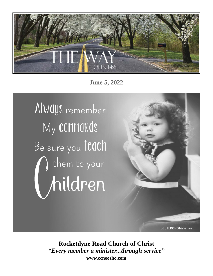

**June 5, 2022**



**Rocketdyne Road Church of Christ** *"Every member a minister...through service"* **www.ccneosho.com**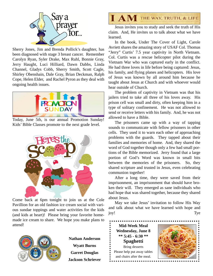

Sherry Jones, Jim and Brenda Pollick's daughter, has been diagnosed with stage 3 breast cancer. Remember Carolyn Ryan, Syler Drake, Max Ruhl, Bonnie Gray, Jerry Haught, Luci Hilliard, Dawn Dabbs, Linda Channel, Gladys Cobb, Sherry Smith, Scott Cagle, Shirley Obenshain, Dale Gray, Brian Deckman, Ralph Cope, Helen Elder, and Rachel Pyron as they deal with ongoing health issues.



Today, June 5th, is our annual Promotion Sunday! Kids' Bible Classes promote to the next grade level.



Come back at 6pm tonight to join us at the Cole Pavillion for an old fashion ice cream social with various sundae toppings and water activities for the kids (and kids at heart)! Please bring your favorite homemade ice cream to share. We hope you make plans to attend!



**Nathan Anderson Wyatt Burns Garret Douglas Jackson Schriever**



 Jesus invites you to study and seek the truth of His claim. And, He invites us to talk about what we have learned.

 In the book, Under The Cover of Light, Carole Avriett shares the amazing story of USAF Col. Thomas "Jerry" Curtis' 7.5 year captivity in North Vietnam. Col. Curtis was a rescue helicopter pilot during the Vietnam War who was captured early in the conflict. He had three loves in life before being captured: Jesus, his family, and flying planes and helicopters. His love of Jesus was known by all around him because he taught about Jesus at Church and with whoever would hear outside of Church.

 The problem of captivity in Vietnam was that his jailers tried to take all three of his loves away. His prison cell was small and dirty, often keeping him in a type of solitary confinement. He was not allowed to send or receive letters with his family. And, he was not allowed to have a Bible.

 The prisoners came up with a way of tapping sounds to communicate with fellow prisoners in other cells. They used it to warn each other of approaching problems with the guards. They tapped about their families and memories of home. And, they shared the word of God together though only a few had small portions of the Bible memorized. Jerry found that a large portion of God's Word was known in small bits between the memories of the prisoners. So, they shared scripture and trusted in Jesus, even celebrating communion together!

 After a long time, they were saved from their imprisonment, an imprisonment that should have broken their will. They emerged as sane individuals who had hope that was shared together, because they shared about Jesus.

 May we take Jesus' invitation to follow His Way and talk about what we have learned with hope and joy! Tye

**Mid-Week Meal Wednesday, June 8 \*\* 5:45 - 6:30 \*\* Spaghetti** Bring desserts

Please help put away tables and chairs after the meal.\* \* \* \* \* \* \* \* \* \* \* \* \* \* \* \*

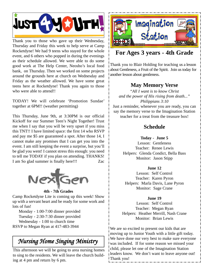

Thank you to those who gave up their Wednesday, Thursday and Friday this week to help serve at Camp Rocketdyne! We had 9 teens who stayed for the whole event, and 6 others who popped in during the evenings as their schedule allowed. We were able to do some good work at The Help Center, Neosho's local food bank, on Thursday. Then we worked on some projects around the grounds here at church on Wednesday and Friday as the weather allowed. We have some great teens here at Rocketdyne! Thank you again to those who were able to attend!!

TODAY! We will celebrate 'Promotion Sundae' together at 6PM!! (weather permitting)

This Thursday, June 9th, at 3:30PM is our official Kickoff for our Summer Teen's Night Together! Trust me when I say that you will be very upset if you miss this TNT!! I have limited space: the first 14 who RSVP and pay me \$5 are guaranteed a spot. After those 14, I cannot make any promises that I can get you into the event. I am still keeping the event a surprise, but you'll be glad you went! I cannot stress this enough: you need to tell me TODAY if you plan on attending. THANKS! I am So glad summer is finally here!!! Zac



#### **4th - 7th Grades**

Camp Rocketdyne Lite is coming up this week! Show up with a servant heart and be ready for some work and lots of fun!

 Monday - 1:00-7:00 dinner provided Tuesday - 2:30-7:30 dinner provided Wednesday - 1:00 to church time RSVP to Megan Ryan at 417-483-3944

# *Nursing Home Singing Ministry*

This afternoon we will be going to area nursing homes to sing to the residents. We will leave the church building at 4 pm and return by 6 pm.



## **For Ages 3 years - 4th Grade**

Thank you to Blair Holding for teaching us a lesson about Gentleness, a Fruit of the Spirit. Join us today for another lesson about gentleness.

## **May Memory Verse**

*"All I want is to know Christ and the power of His rising from death..." Philippians 3:10*

Just a reminder, whenever you are ready, you can say the memory verse to the Imagination Station teacher for a treat from the treasure box!

## **Schedule**

### **Today - June 5**

Lesson: Gentleness Teacher: Renee Lewis Helpers: Glenda Condict, Bella Bass Monitor: Jason Stipp

#### **June 12**

Lesson: Self Control Teacher: Karen Pyron Helpers: Marla Davis, Lane Pyron Monitor: Sage Crane

#### **June 19**

Lesson: Self Control Teacher: Megan Ryan Helpers: Heather Merrill, Nash Crane Monitor: Brian Lewis

We are so excited to present our kids that are moving up to Junior Youth with a little gift today. We have done our very best to make sure everyone was included. If for some reason we missed your child, please let one of the Imagination Station leaders know. We don't want to leave anyone out! Thank you!